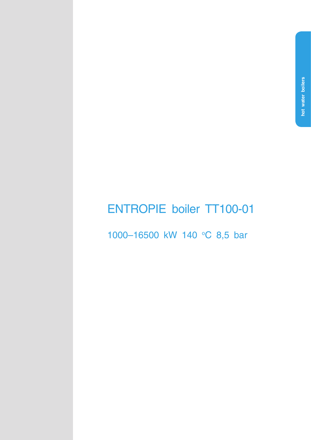# **ENTROPIE boiler TT100-01**

1000-16500 kW 140 °C 8,5 bar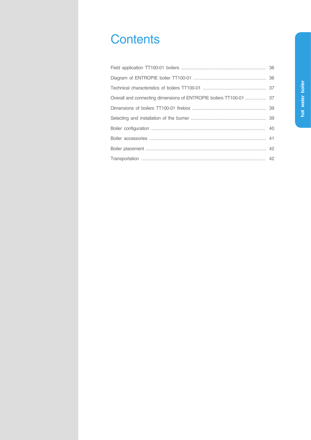# Сontents

| Overall and connecting dimensions of ENTROPIE boilers TT100-01  37 |
|--------------------------------------------------------------------|
|                                                                    |
|                                                                    |
|                                                                    |
|                                                                    |
|                                                                    |
|                                                                    |
|                                                                    |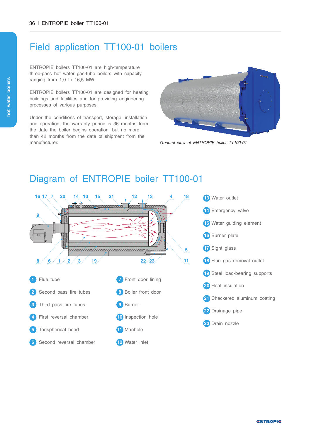### Field application TT100-01 boilers

ENTROPIE boilers TT100-01 are high-temperature three-pass hot water gas-tube boilers with capacity ranging from 1,0 to 16,5 MW.

ENTROPIE boilers TТ100-01 are designed for heating buildings and facilities and for providing engineering processes of various purposes.

Under the conditions of transport, storage, installation and operation, the warranty period is 36 months from the date the boiler begins operation, but no more than 42 months from the date of shipment from the manufacturer.



*General view of ENTROPIE boiler TT100-01*

### Diagram of ENTROPIE boiler TT100-01

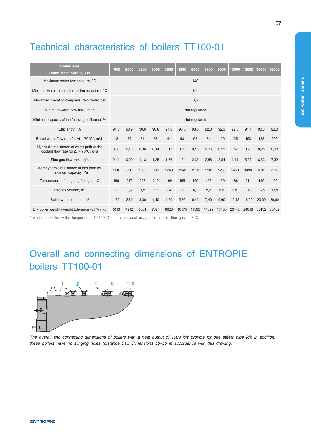# Technical characteristics of boilers TT100-01

| <b>Boiler size</b><br>Rated heat output, kW                                                       | 1000 | 2000          | 2500 | 3000 | 3500 | 4200  | 5400  | 6500  | 8000  | 10000 | 12000 | 15000 | 16500 |
|---------------------------------------------------------------------------------------------------|------|---------------|------|------|------|-------|-------|-------|-------|-------|-------|-------|-------|
| Maximum water temperature, °C                                                                     |      |               |      |      |      |       | 140   |       |       |       |       |       |       |
| Minimum water temperature at the boiler inlet, °C                                                 |      | 60            |      |      |      |       |       |       |       |       |       |       |       |
| Maximum operating overpressure of water, bar                                                      |      | 8,5           |      |      |      |       |       |       |       |       |       |       |       |
| Minimum water flow rate, m <sup>3</sup> /h                                                        |      | Not regulated |      |      |      |       |       |       |       |       |       |       |       |
| Minimum capacity of the first stage of burner, %                                                  |      | Not regulated |      |      |      |       |       |       |       |       |       |       |       |
| Efficiency*, %                                                                                    | 91,8 | 90,9          | 90,6 | 90,8 | 91,8 | 93,5  | 93,5  | 92,0  | 92,3  | 92,5  | 91,1  | 92.3  | 92,0  |
| Rated water flow rate for $\Delta t = 70^{\circ} \text{C}^*$ , m <sup>3</sup> /h                  | 13   | 25            | 31   | 38   | 44   | 53    | 68    | 81    | 100   | 125   | 150   | 188   | 206   |
| Hydraulic resistance of water path at the<br>coolant flow rate for $\Delta t = 70^{\circ}$ C. kPa | 0,08 | 0,16          | 0,36 | 0.14 | 0,13 | 0,18  | 0,15  | 0,26  | 0,23  | 0.28  | 0.26  | 0.25  | 0.30  |
| Flue gas flow rate, kg/s                                                                          | 0.44 | 0.90          | 1.13 | 1.35 | 1.56 | 1.84  | 2.36  | 2.88  | 3.54  | 4.41  | 5.37  | 6.63  | 7.32  |
| Aerodynamic resistance of gas path for<br>maximum capacity, Pa                                    | 260  | 830           | 1005 | 900  | 1240 | 1240  | 1920  | 1110  | 1250  | 1450  | 1490  | 1810  | 2210  |
| Temperature of outgoing flue gas, °C                                                              | 199  | 217           | 223  | 219  | 199  | 165   | 165   | 196   | 190   | 186   | 211   | 190   | 196   |
| Firebox volume, m <sup>3</sup>                                                                    | 0.9  | 1,3           | 1,5  | 2,2  | 2,4  | 3,3   | 4,1   | 5,2   | 6.6   | 8.6   | 10.8  | 13.8  | 13.8  |
| Boiler water volume, m <sup>3</sup>                                                               | 1.80 | 2,80          | 3,00 | 4,10 | 4,60 | 5,36  | 6,42  | 7,40  | 9,60  | 12,12 | 16.00 | 20.00 | 20.00 |
| Dry boiler weight (weight tolerance 4,5 %), kg                                                    | 3013 | 4912          | 5361 | 7374 | 8028 | 10175 | 11595 | 14329 | 17486 | 20442 | 24648 | 30432 | 30432 |

\* when the boiler water temperature 70/140 °C and a residual oxygen content of flue gas of 3 %.

# Overall and connecting dimensions of ENTROPIE boilers TT100-01



The overall and connecting dimensions of boilers with a heat output of 1000 kW provide for one safety pipe (d); in addition, *these boilers have no slinging holes (distance В1). Dimensions L3–L6 in accordance with this drawing.*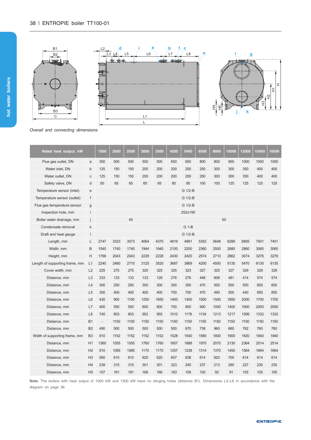

*Overall and connecting dimensions*

| Rated heat output, kW          |                | 1000                     | 2000 | 2500 | 3000 | 3500 | 4200 | 5400    | 6500 | 8000 | 10000 | 12000 | 15000 | 16500 |
|--------------------------------|----------------|--------------------------|------|------|------|------|------|---------|------|------|-------|-------|-------|-------|
| Flue gas outlet, DN            | a              | 300                      | 500  | 500  | 500  | 500  | 650  | 650     | 800  | 800  | 900   | 1000  | 1000  | 1000  |
| Water inlet, DN                | $\mathsf{b}$   | 125                      | 150  | 150  | 200  | 200  | 200  | 250     | 250  | 300  | 300   | 350   | 400   | 400   |
| Water outlet, DN               | с              | 125                      | 150  | 150  | 200  | 200  | 200  | 250     | 250  | 300  | 300   | 350   | 400   | 400   |
| Safety valve, DN               | d              | 50                       | 65   | 65   | 65   | 65   | 80   | 80      | 100  | 100  | 125   | 125   | 125   | 125   |
| Temperature sensor (inlet)     | e              |                          |      |      |      |      |      | G 1/2-B |      |      |       |       |       |       |
| Temperature sensor (outlet)    | f              |                          |      |      |      |      |      | G 1/2-B |      |      |       |       |       |       |
| Flue gas temperature sensor    | g              |                          |      |      |      |      |      | G 1/2-B |      |      |       |       |       |       |
| Inspection hole, mm            | i              |                          |      |      |      |      |      | 252x190 |      |      |       |       |       |       |
| Boiler water drainage, mm      |                |                          |      | 40   |      |      |      |         |      |      | 50    |       |       |       |
| Condensate removal             | k              |                          |      |      |      |      |      | G 1-B   |      |      |       |       |       |       |
| Draft and heat gauge           | I              |                          |      |      |      |      |      | G 1/2-B |      |      |       |       |       |       |
| Length, mm                     | L              | 2747                     | 3323 | 3573 | 4064 | 4370 | 4819 | 4991    | 5352 | 5648 | 6289  | 6805  | 7401  | 7401  |
| Width, mm                      | B              | 1540                     | 1740 | 1740 | 1944 | 1940 | 2100 | 2200    | 2360 | 2500 | 2680  | 2860  | 3060  | 3060  |
| Height, mm                     | н              | 1768                     | 2043 | 2043 | 2228 | 2228 | 2430 | 2420    | 2574 | 2710 | 2862  | 3074  | 3276  | 3276  |
| Length of supporting frame, mm | L1             | 2240                     | 2460 | 2710 | 3120 | 3520 | 3687 | 3869    | 4200 | 4500 | 5135  | 5470  | 6135  | 6135  |
| Cover width, mm                | L2             | 225                      | 275  | 275  | 325  | 325  | 325  | 323     | 327  | 325  | 327   | 329   | 329   | 329   |
| Distance, mm                   | L <sub>3</sub> | 333                      | 133  | 133  | 133  | 128  | 276  | 276     | 448  | 608  | 481   | 414   | 574   | 574   |
| Distance, mm                   | L4             | 300                      | 250  | 250  | 300  | 300  | 300  | 300     | 470  | 500  | 500   | 500   | 600   | 600   |
| Distance, mm                   | L <sub>5</sub> | 300                      | 400  | 400  | 400  | 400  | 700  | 700     | 470  | 490  | 500   | 440   | 850   | 850   |
| Distance, mm                   | L <sub>6</sub> | 430                      | 900  | 1150 | 1250 | 1650 | 1400 | 1400    | 1500 | 1500 | 1850  | 2000  | 1700  | 1700  |
| Distance, mm                   | L7             | 400                      | 550  | 550  | 600  | 600  | 700  | 800     | 900  | 1000 | 1400  | 1600  | 2000  | 2000  |
| Distance, mm                   | L <sub>8</sub> | 745                      | 803  | 803  | 952  | 955  | 1010 | 1178    | 1134 | 1213 | 1217  | 1506  | 1332  | 1332  |
| Distance, mm                   | <b>B1</b>      | $\overline{\phantom{a}}$ | 1150 | 1150 | 1150 | 1150 | 1150 | 1150    | 1150 | 1150 | 1150  | 1150  | 1150  | 1150  |
| Distance, mm                   | B <sub>2</sub> | 490                      | 500  | 500  | 500  | 500  | 500  | 670     | 738  | 960  | 660   | 762   | 760   | 760   |
| Width of supporting frame, mm  | B <sub>3</sub> | 910                      | 1152 | 1152 | 1152 | 1152 | 1528 | 1540    | 1580 | 1800 | 1800  | 1820  | 1940  | 1940  |
| Distance, mm                   | H1             | 1360                     | 1555 | 1555 | 1760 | 1760 | 1857 | 1888    | 1970 | 2070 | 2130  | 2364  | 2514  | 2514  |
| Distance, mm                   | H <sub>2</sub> | 910                      | 1085 | 1085 | 1170 | 1170 | 1257 | 1238    | 1314 | 1370 | 1450  | 1564  | 1664  | 1664  |
| Distance, mm                   | H <sub>3</sub> | 560                      | 610  | 610  | 620  | 620  | 657  | 638     | 614  | 620  | 700   | 614   | 614   | 614   |
| Distance, mm                   | H4             | 239                      | 315  | 315  | 301  | 301  | 323  | 245     | 237  | 213  | 290   | 227   | 230   | 230   |
| Distance, mm                   | H <sub>5</sub> | 107                      | 181  | 181  | 166  | 166  | 163  | 109     | 120  | 92   | 91    | 105   | 105   | 105   |

**Note.** The boilers with heat output of 1000 kW and 1500 kW have no slinging holes (distance B1). Dimensions L3–L6 in accordance with the diagram on page 36.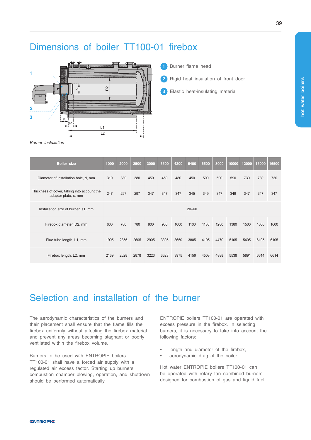## Dimensions of boiler TT100-01 firebox



- **1** Burner flame head
- **2** Rigid heat insulation of front door
- **3** Elastic heat-insulating material

*Burner installation*

| <b>Boiler size</b>                                                  | 1000      | 2000 | 2500 | 3000 | 3500 | 4200 | 5400 | 6500 | 8000 | 10000 | 12000 | 15000 | 16500 |  |
|---------------------------------------------------------------------|-----------|------|------|------|------|------|------|------|------|-------|-------|-------|-------|--|
| Diameter of installation hole, d, mm                                | 310       | 380  | 380  | 450  | 450  | 480  | 450  | 500  | 590  | 590   | 730   | 730   | 730   |  |
| Thickness of cover, taking into account the<br>adapter plate, s, mm | 247       | 297  | 297  | 347  | 347  | 347  | 345  | 349  | 347  | 349   | 347   | 347   | 347   |  |
| Installation size of burner, s1, mm                                 | $20 - 60$ |      |      |      |      |      |      |      |      |       |       |       |       |  |
| Firebox diameter, D2, mm                                            | 600       | 780  | 780  | 900  | 900  | 1000 | 1100 | 1180 | 1280 | 1380  | 1500  | 1600  | 1600  |  |
| Flue tube length, L1, mm                                            | 1905      | 2355 | 2605 | 2905 | 3305 | 3650 | 3805 | 4105 | 4470 | 5105  | 5405  | 6105  | 6105  |  |
| Firebox length, L2, mm                                              | 2139      | 2628 | 2878 | 3223 | 3623 | 3975 | 4156 | 4503 | 4888 | 5538  | 5891  | 6614  | 6614  |  |

# Selection and installation of the burner

The aerodynamic characteristics of the burners and their placement shall ensure that the flame fills the firebox uniformly without affecting the firebox material and prevent any areas becoming stagnant or poorly ventilated within the firebox volume.

Burners to be used with ENTROPIE boilers TT100-01 shall have a forced air supply with a regulated air excess factor. Starting up burners, combustion chamber blowing, operation, and shutdown should be performed automatically.

ENTROPIE boilers TT100-01 are operated with excess pressure in the firebox. In selecting burners, it is necessary to take into account the following factors:

- length and diameter of the firebox,
- aerodynamic drag of the boiler.

Hot water ENTROPIE boilers TT100-01 can be operated with rotary fan combined burners designed for combustion of gas and liquid fuel. **hot water boilers**

not water boilers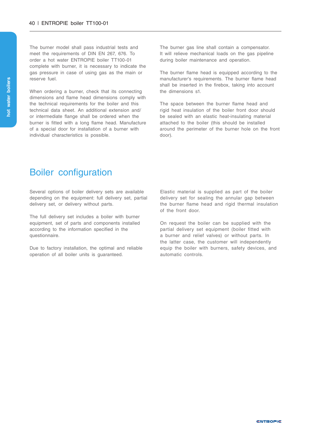The burner model shall pass industrial tests and meet the requirements of DIN EN 267, 676. To order a hot water ENTROPIE boiler TT100-01 complete with burner, it is necessary to indicate the gas pressure in case of using gas as the main or reserve fuel.

When ordering a burner, check that its connecting dimensions and flame head dimensions comply with the technical requirements for the boiler and this technical data sheet. An additional extension and/ or intermediate flange shall be ordered when the burner is fitted with a long flame head. Manufacture of a special door for installation of a burner with individual characteristics is possible.

The burner gas line shall contain a compensator. It will relieve mechanical loads on the gas pipeline during boiler maintenance and operation.

The burner flame head is equipped according to the manufacturer's requirements. The burner flame head shall be inserted in the firebox, taking into account the dimensions s1.

The space between the burner flame head and rigid heat insulation of the boiler front door should be sealed with an elastic heat-insulating material attached to the boiler (this should be installed around the perimeter of the burner hole on the front door).

#### Boiler configuration

Several options of boiler delivery sets are available depending on the equipment: full delivery set, partial delivery set, or delivery without parts.

The full delivery set includes a boiler with burner equipment, set of parts and components installed according to the information specified in the questionnaire.

Due to factory installation, the optimal and reliable operation of all boiler units is guaranteed.

Elastic material is supplied as part of the boiler delivery set for sealing the annular gap between the burner flame head and rigid thermal insulation of the front door.

On request the boiler can be supplied with the partial delivery set equipment (boiler fitted with a burner and relief valves) or without parts. In the latter case, the customer will independently equip the boiler with burners, safety devices, and automatic controls.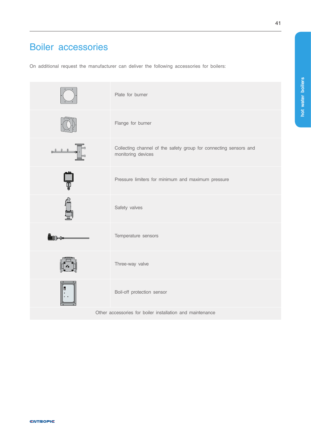# Boiler accessories

On additional request the manufacturer can deliver the following accessories for boilers:

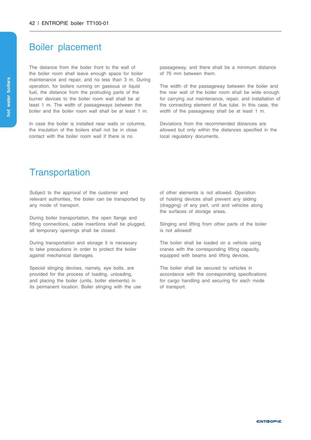#### Boiler placement

The distance from the boiler front to the wall of the boiler room shall leave enough space for boiler maintenance and repair, and no less than 3 m. During operation, for boilers running on gaseous or liquid fuel, the distance from the protruding parts of the burner devices to the boiler room wall shall be at least 1 m. The width of passageways between the boiler and the boiler room wall shall be at least 1 m.

In case the boiler is installed near walls or columns. the insulation of the boilers shall not be in close contact with the boiler room wall if there is no

passageway, and there shall be a minimum distance of 70 mm between them.

The width of the passageway between the boiler and the rear wall of the boiler room shall be wide enough for carrying out maintenance, repair, and installation of the connecting element of flue tube. In this case, the width of the passageway shall be at least 1 m.

Deviations from the recommended distances are allowed but only within the distances specified in the local regulatory documents.

#### **Transportation**

Subject to the approval of the customer and relevant authorities, the boiler can be transported by any mode of transport.

During boiler transportation, the open flange and fitting connections, cable insertions shall be plugged, all temporary openings shall be closed.

During transportation and storage it is necessary to take precautions in order to protect the boiler against mechanical damages.

Special slinging devices, namely, eye bolts, are provided for the process of loading, unloading, and placing the boiler (units, boiler elements) in its permanent location. Boiler slinging with the use of other elements is not allowed. Operation of hoisting devices shall prevent any sliding (dragging) of any part, unit and vehicles along the surfaces of storage areas.

Slinging and lifting from other parts of the boiler is not allowed!

The boiler shall be loaded on a vehicle using cranes with the corresponding lifting capacity, equipped with beams and lifting devices.

The boiler shall be secured to vehicles in accordance with the corresponding specifications for cargo handling and securing for each mode of transport.